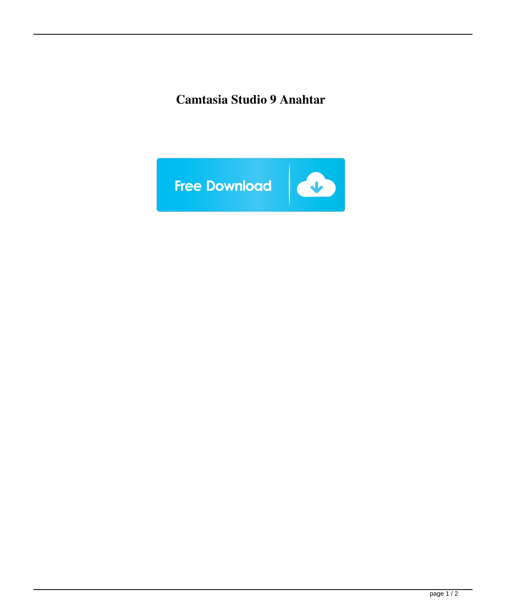## **Camtasia Studio 9 Anahtar**